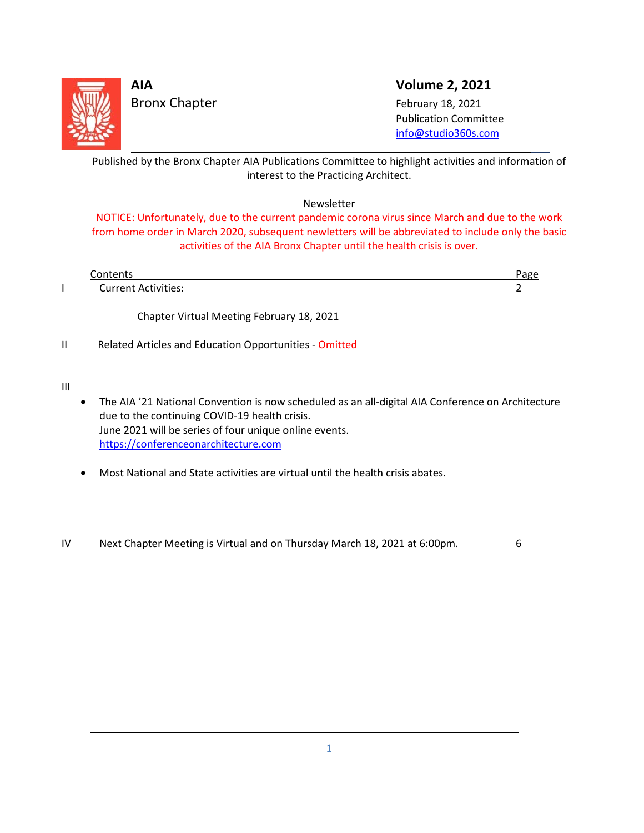

Bronx Chapter February 18, 2021

**AIA Volume 2, 2021**

 Publication Committee [info@studio360s.com](mailto:info@studio360s.com)

Published by the Bronx Chapter AIA Publications Committee to highlight activities and information of interest to the Practicing Architect. L

### Newsletter

NOTICE: Unfortunately, due to the current pandemic corona virus since March and due to the work from home order in March 2020, subsequent newletters will be abbreviated to include only the basic activities of the AIA Bronx Chapter until the health crisis is over.

| `∩ntents                   |  |
|----------------------------|--|
| <b>Current Activities:</b> |  |

Chapter Virtual Meeting February 18, 2021

II Related Articles and Education Opportunities - Omitted

III

L

- The AIA '21 National Convention is now scheduled as an all-digital AIA Conference on Architecture due to the continuing COVID-19 health crisis. June 2021 will be series of four unique online events. [https://conferenceonarchitecture.com](https://conferenceonarchitecture.com/)
- Most National and State activities are virtual until the health crisis abates.
- IV Next Chapter Meeting is Virtual and on Thursday March 18, 2021 at 6:00pm. 6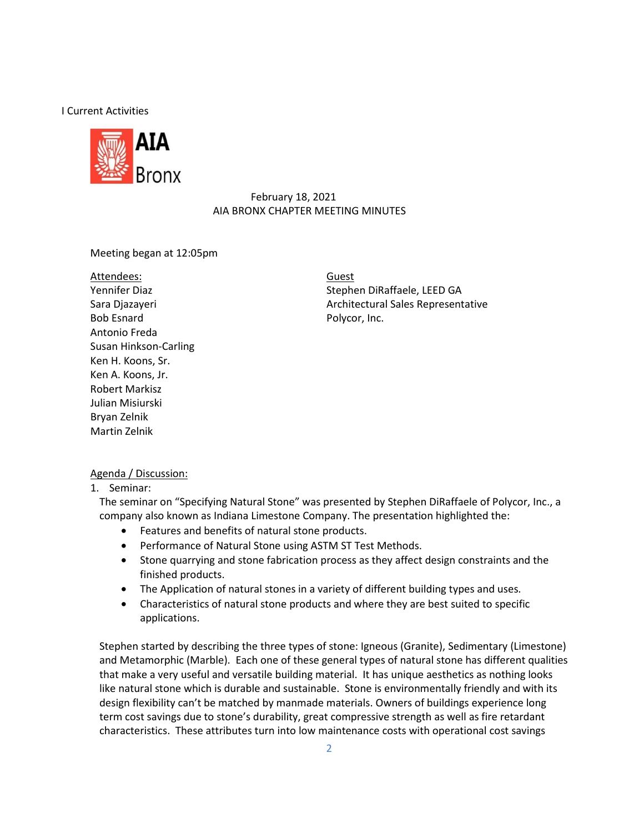I Current Activities



### February 18, 2021 AIA BRONX CHAPTER MEETING MINUTES

Meeting began at 12:05pm

#### Attendees:

Bob Esnard Polycor, Inc. Antonio Freda Susan Hinkson-Carling Ken H. Koons, Sr. Ken A. Koons, Jr. Robert Markisz Julian Misiurski Bryan Zelnik Martin Zelnik

Yennifer Diaz Stephen DiRaffaele, LEED GA Guest Sara Diazayeri **Architectural Sales Representative** Architectural Sales Representative

#### Agenda / Discussion:

1. Seminar:

The seminar on "Specifying Natural Stone" was presented by Stephen DiRaffaele of Polycor, Inc., a company also known as Indiana Limestone Company. The presentation highlighted the:

- Features and benefits of natural stone products.
- Performance of Natural Stone using ASTM ST Test Methods.
- Stone quarrying and stone fabrication process as they affect design constraints and the finished products.
- The Application of natural stones in a variety of different building types and uses.
- Characteristics of natural stone products and where they are best suited to specific applications.

Stephen started by describing the three types of stone: Igneous (Granite), Sedimentary (Limestone) and Metamorphic (Marble). Each one of these general types of natural stone has different qualities that make a very useful and versatile building material. It has unique aesthetics as nothing looks like natural stone which is durable and sustainable. Stone is environmentally friendly and with its design flexibility can't be matched by manmade materials. Owners of buildings experience long term cost savings due to stone's durability, great compressive strength as well as fire retardant characteristics. These attributes turn into low maintenance costs with operational cost savings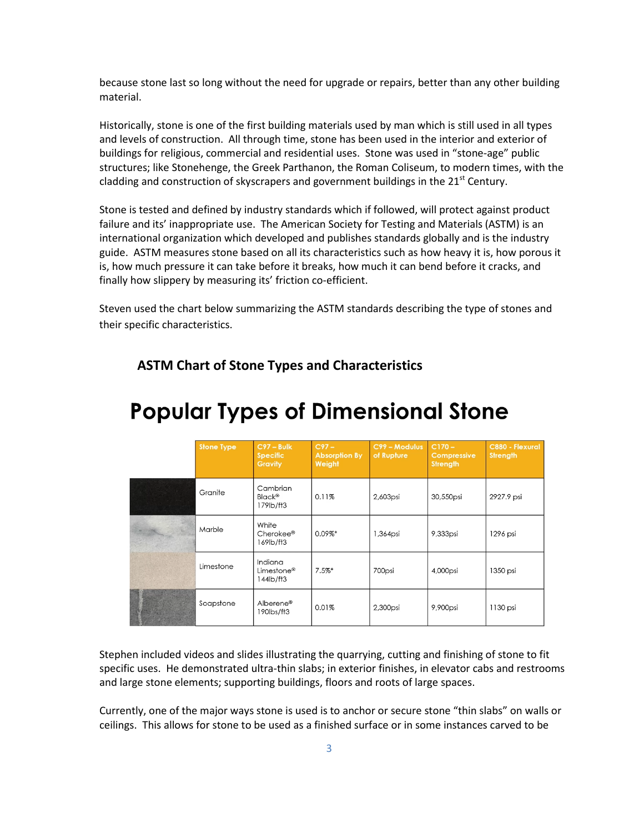because stone last so long without the need for upgrade or repairs, better than any other building material.

Historically, stone is one of the first building materials used by man which is still used in all types and levels of construction. All through time, stone has been used in the interior and exterior of buildings for religious, commercial and residential uses. Stone was used in "stone-age" public structures; like Stonehenge, the Greek Parthanon, the Roman Coliseum, to modern times, with the cladding and construction of skyscrapers and government buildings in the  $21<sup>st</sup>$  Century.

Stone is tested and defined by industry standards which if followed, will protect against product failure and its' inappropriate use. The American Society for Testing and Materials (ASTM) is an international organization which developed and publishes standards globally and is the industry guide. ASTM measures stone based on all its characteristics such as how heavy it is, how porous it is, how much pressure it can take before it breaks, how much it can bend before it cracks, and finally how slippery by measuring its' friction co-efficient.

Steven used the chart below summarizing the ASTM standards describing the type of stones and their specific characteristics.

| <b>Stone Type</b> | $C97 - Bulk$<br><b>Specific</b><br><b>Gravity</b> | $C97-$<br><b>Absorption By</b><br>Weight | C99 - Modulus<br>of Rupture | $C170 -$<br><b>Compressive</b><br><b>Strength</b> | <b>C880 - Flexural</b><br><b>Strength</b> |
|-------------------|---------------------------------------------------|------------------------------------------|-----------------------------|---------------------------------------------------|-------------------------------------------|
| Granite           | Cambrian<br><b>Black®</b><br>179lb/ft3            | 0.11%                                    | 2,603psi                    | 30,550psi                                         | 2927.9 psi                                |
| Marble            | White<br>Cherokee®<br>169lb/ft3                   | $0.09\%$ *                               | 1,364psi                    | 9,333psi                                          | 1296 psi                                  |
| Limestone         | Indiana<br>Limestone <sup>®</sup><br>144lb/ft3    | $7.5%$ *                                 | 700psi                      | 4,000psi                                          | 1350 psi                                  |
| Soapstone         | Alberene®<br>190lbs/ft3                           | 0.01%                                    | 2,300psi                    | 9,900psi                                          | 1130 psi                                  |

### **ASTM Chart of Stone Types and Characteristics**

## **Popular Types of Dimensional Stone**

Stephen included videos and slides illustrating the quarrying, cutting and finishing of stone to fit specific uses. He demonstrated ultra-thin slabs; in exterior finishes, in elevator cabs and restrooms and large stone elements; supporting buildings, floors and roots of large spaces.

Currently, one of the major ways stone is used is to anchor or secure stone "thin slabs" on walls or ceilings. This allows for stone to be used as a finished surface or in some instances carved to be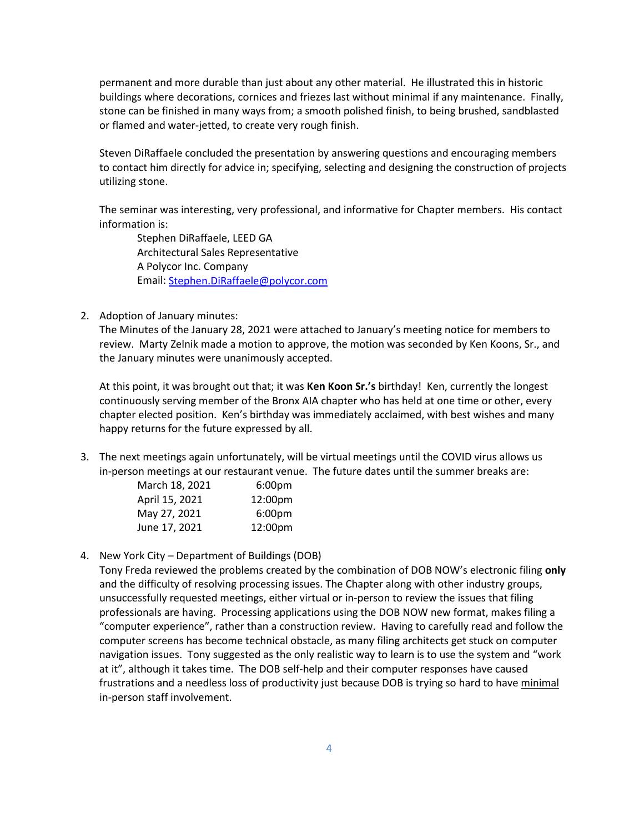permanent and more durable than just about any other material. He illustrated this in historic buildings where decorations, cornices and friezes last without minimal if any maintenance. Finally, stone can be finished in many ways from; a smooth polished finish, to being brushed, sandblasted or flamed and water-jetted, to create very rough finish.

Steven DiRaffaele concluded the presentation by answering questions and encouraging members to contact him directly for advice in; specifying, selecting and designing the construction of projects utilizing stone.

The seminar was interesting, very professional, and informative for Chapter members. His contact information is:

Stephen DiRaffaele, LEED GA Architectural Sales Representative A Polycor Inc. Company Email[: Stephen.DiRaffaele@polycor.com](mailto:Stephen.DiRaffaele@polycor.com)

2. Adoption of January minutes:

The Minutes of the January 28, 2021 were attached to January's meeting notice for members to review. Marty Zelnik made a motion to approve, the motion was seconded by Ken Koons, Sr., and the January minutes were unanimously accepted.

At this point, it was brought out that; it was **Ken Koon Sr.'s** birthday! Ken, currently the longest continuously serving member of the Bronx AIA chapter who has held at one time or other, every chapter elected position. Ken's birthday was immediately acclaimed, with best wishes and many happy returns for the future expressed by all.

3. The next meetings again unfortunately, will be virtual meetings until the COVID virus allows us in-person meetings at our restaurant venue. The future dates until the summer breaks are:

| 6:00 <sub>pm</sub>  |
|---------------------|
| 12:00pm             |
| 6:00 <sub>pm</sub>  |
| 12:00 <sub>pm</sub> |
|                     |

4. New York City – Department of Buildings (DOB)

Tony Freda reviewed the problems created by the combination of DOB NOW's electronic filing **only** and the difficulty of resolving processing issues. The Chapter along with other industry groups, unsuccessfully requested meetings, either virtual or in-person to review the issues that filing professionals are having. Processing applications using the DOB NOW new format, makes filing a "computer experience", rather than a construction review. Having to carefully read and follow the computer screens has become technical obstacle, as many filing architects get stuck on computer navigation issues. Tony suggested as the only realistic way to learn is to use the system and "work at it", although it takes time. The DOB self-help and their computer responses have caused frustrations and a needless loss of productivity just because DOB is trying so hard to have minimal in-person staff involvement.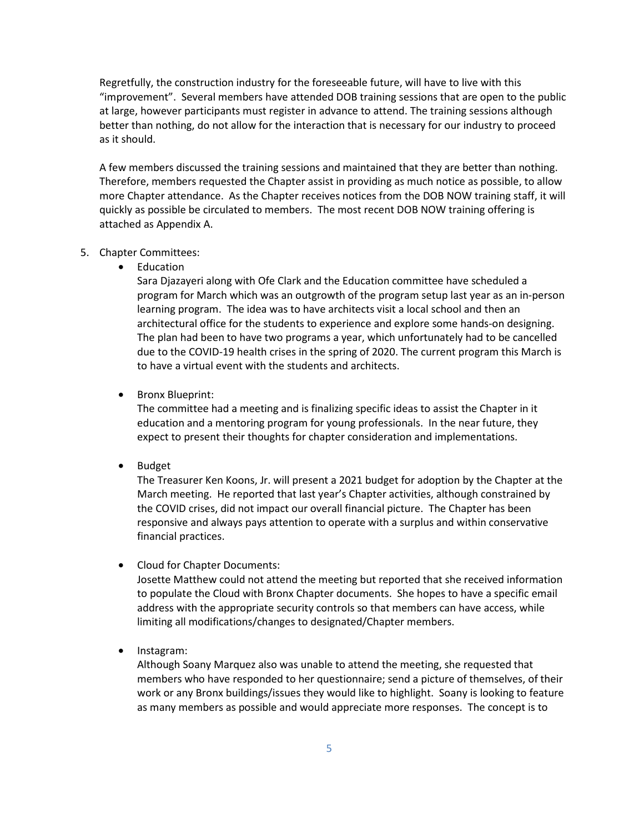Regretfully, the construction industry for the foreseeable future, will have to live with this "improvement". Several members have attended DOB training sessions that are open to the public at large, however participants must register in advance to attend. The training sessions although better than nothing, do not allow for the interaction that is necessary for our industry to proceed as it should.

A few members discussed the training sessions and maintained that they are better than nothing. Therefore, members requested the Chapter assist in providing as much notice as possible, to allow more Chapter attendance. As the Chapter receives notices from the DOB NOW training staff, it will quickly as possible be circulated to members. The most recent DOB NOW training offering is attached as Appendix A.

#### 5. Chapter Committees:

• Education

Sara Djazayeri along with Ofe Clark and the Education committee have scheduled a program for March which was an outgrowth of the program setup last year as an in-person learning program. The idea was to have architects visit a local school and then an architectural office for the students to experience and explore some hands-on designing. The plan had been to have two programs a year, which unfortunately had to be cancelled due to the COVID-19 health crises in the spring of 2020. The current program this March is to have a virtual event with the students and architects.

• Bronx Blueprint:

The committee had a meeting and is finalizing specific ideas to assist the Chapter in it education and a mentoring program for young professionals. In the near future, they expect to present their thoughts for chapter consideration and implementations.

• Budget

The Treasurer Ken Koons, Jr. will present a 2021 budget for adoption by the Chapter at the March meeting. He reported that last year's Chapter activities, although constrained by the COVID crises, did not impact our overall financial picture. The Chapter has been responsive and always pays attention to operate with a surplus and within conservative financial practices.

• Cloud for Chapter Documents:

Josette Matthew could not attend the meeting but reported that she received information to populate the Cloud with Bronx Chapter documents. She hopes to have a specific email address with the appropriate security controls so that members can have access, while limiting all modifications/changes to designated/Chapter members.

• Instagram:

Although Soany Marquez also was unable to attend the meeting, she requested that members who have responded to her questionnaire; send a picture of themselves, of their work or any Bronx buildings/issues they would like to highlight. Soany is looking to feature as many members as possible and would appreciate more responses. The concept is to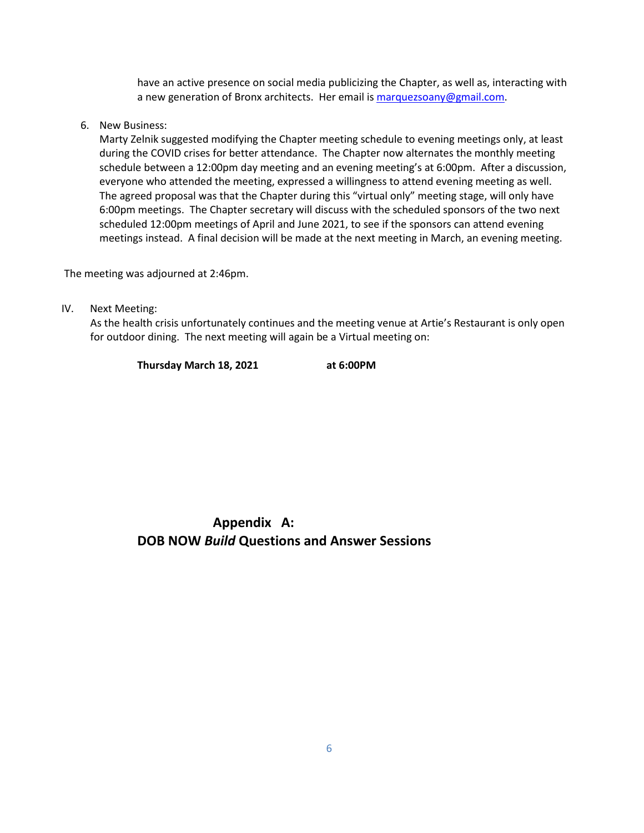have an active presence on social media publicizing the Chapter, as well as, interacting with a new generation of Bronx architects. Her email is [marquezsoany@gmail.com.](mailto:marquezsoany@gmail.com)

6. New Business:

Marty Zelnik suggested modifying the Chapter meeting schedule to evening meetings only, at least during the COVID crises for better attendance. The Chapter now alternates the monthly meeting schedule between a 12:00pm day meeting and an evening meeting's at 6:00pm. After a discussion, everyone who attended the meeting, expressed a willingness to attend evening meeting as well. The agreed proposal was that the Chapter during this "virtual only" meeting stage, will only have 6:00pm meetings. The Chapter secretary will discuss with the scheduled sponsors of the two next scheduled 12:00pm meetings of April and June 2021, to see if the sponsors can attend evening meetings instead. A final decision will be made at the next meeting in March, an evening meeting.

The meeting was adjourned at 2:46pm.

IV. Next Meeting:

As the health crisis unfortunately continues and the meeting venue at Artie's Restaurant is only open for outdoor dining. The next meeting will again be a Virtual meeting on:

**Thursday March 18, 2021 at 6:00PM**

**Appendix A: DOB NOW** *Build* **Questions and Answer Sessions**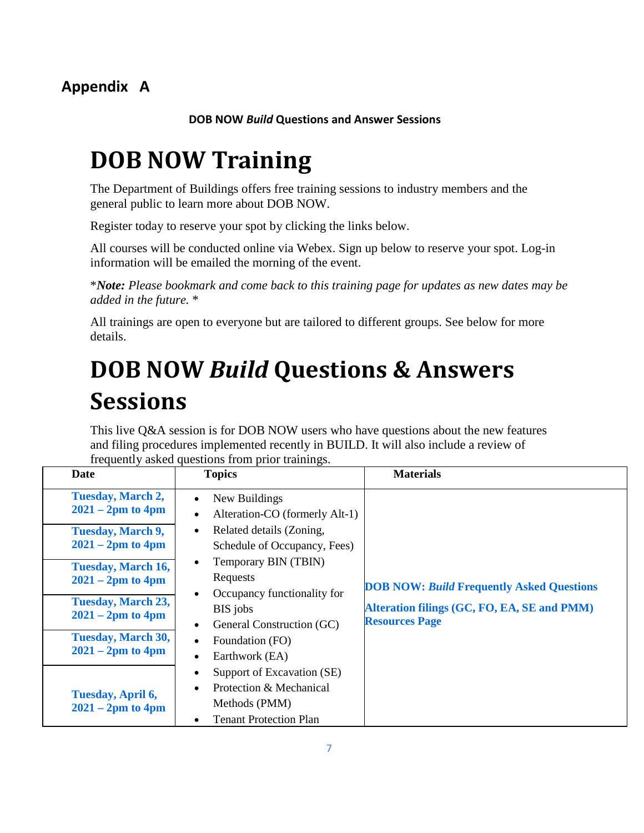**DOB NOW** *Build* **Questions and Answer Sessions**

# **DOB NOW Training**

The Department of Buildings offers free training sessions to industry members and the general public to learn more about DOB NOW.

Register today to reserve your spot by clicking the links below.

All courses will be conducted online via Webex. Sign up below to reserve your spot. Log-in information will be emailed the morning of the event.

\**Note: Please bookmark and come back to this training page for updates as new dates may be added in the future.* \*

All trainings are open to everyone but are tailored to different groups. See below for more details.

# **DOB NOW** *Build* **Questions & Answers Sessions**

This live Q&A session is for DOB NOW users who have questions about the new features and filing procedures implemented recently in BUILD. It will also include a review of frequently asked questions from prior trainings.

| <b>Date</b>                                      | <b>Topics</b>                                                                                           | <b>Materials</b>                                                     |
|--------------------------------------------------|---------------------------------------------------------------------------------------------------------|----------------------------------------------------------------------|
| <b>Tuesday, March 2,</b><br>$2021 - 2pm$ to 4pm  | New Buildings<br>Alteration-CO (formerly Alt-1)<br>$\bullet$                                            |                                                                      |
| <b>Tuesday, March 9,</b><br>$2021 - 2pm$ to 4pm  | Related details (Zoning,<br>Schedule of Occupancy, Fees)                                                |                                                                      |
| <b>Tuesday, March 16,</b><br>$2021 - 2pm$ to 4pm | Temporary BIN (TBIN)<br>Requests                                                                        | <b>DOB NOW: Build Frequently Asked Questions</b>                     |
| <b>Tuesday, March 23,</b><br>$2021 - 2pm$ to 4pm | Occupancy functionality for<br>BIS jobs<br>General Construction (GC)                                    | Alteration filings (GC, FO, EA, SE and PMM)<br><b>Resources Page</b> |
| <b>Tuesday, March 30,</b><br>$2021 - 2pm$ to 4pm | Foundation (FO)<br>Earthwork (EA)                                                                       |                                                                      |
| Tuesday, April 6,<br>$2021 - 2pm$ to 4pm         | Support of Excavation (SE)<br>Protection & Mechanical<br>Methods (PMM)<br><b>Tenant Protection Plan</b> |                                                                      |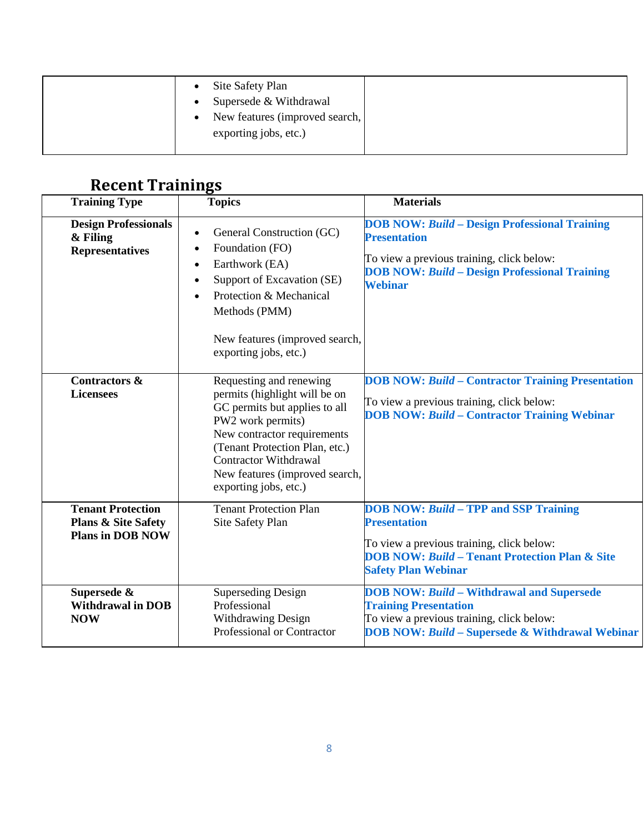| Site Safety Plan<br>$\bullet$<br>Supersede & Withdrawal<br>$\bullet$<br>New features (improved search,<br>$\bullet$<br>exporting jobs, etc.) |
|----------------------------------------------------------------------------------------------------------------------------------------------|
|                                                                                                                                              |

### **Recent Trainings**

| <b>Training Type</b>                                                                  | <b>Topics</b>                                                                                                                                                                                                                                                              | <b>Materials</b>                                                                                                                                                                                            |  |
|---------------------------------------------------------------------------------------|----------------------------------------------------------------------------------------------------------------------------------------------------------------------------------------------------------------------------------------------------------------------------|-------------------------------------------------------------------------------------------------------------------------------------------------------------------------------------------------------------|--|
| <b>Design Professionals</b><br>& Filing<br><b>Representatives</b>                     | General Construction (GC)<br>$\bullet$<br>Foundation (FO)<br>$\bullet$<br>Earthwork (EA)<br>$\bullet$<br>Support of Excavation (SE)<br>$\bullet$<br>Protection & Mechanical<br>$\bullet$<br>Methods (PMM)<br>New features (improved search,<br>exporting jobs, etc.)       | <b>DOB NOW: Build - Design Professional Training</b><br><b>Presentation</b><br>To view a previous training, click below:<br><b>DOB NOW: Build - Design Professional Training</b><br><b>Webinar</b>          |  |
| <b>Contractors &amp;</b><br><b>Licensees</b>                                          | Requesting and renewing<br>permits (highlight will be on<br>GC permits but applies to all<br>PW2 work permits)<br>New contractor requirements<br>(Tenant Protection Plan, etc.)<br><b>Contractor Withdrawal</b><br>New features (improved search,<br>exporting jobs, etc.) | <b>DOB NOW: Build - Contractor Training Presentation</b><br>To view a previous training, click below:<br><b>DOB NOW: Build - Contractor Training Webinar</b>                                                |  |
| <b>Tenant Protection</b><br><b>Plans &amp; Site Safety</b><br><b>Plans in DOB NOW</b> | <b>Tenant Protection Plan</b><br>Site Safety Plan                                                                                                                                                                                                                          | <b>DOB NOW: Build - TPP and SSP Training</b><br><b>Presentation</b><br>To view a previous training, click below:<br><b>DOB NOW: Build - Tenant Protection Plan &amp; Site</b><br><b>Safety Plan Webinar</b> |  |
| Supersede &<br><b>Withdrawal in DOB</b><br><b>NOW</b>                                 | <b>Superseding Design</b><br>Professional<br><b>Withdrawing Design</b><br>Professional or Contractor                                                                                                                                                                       | <b>DOB NOW: Build - Withdrawal and Supersede</b><br><b>Training Presentation</b><br>To view a previous training, click below:<br><b>DOB NOW: Build - Supersede &amp; Withdrawal Webinar</b>                 |  |